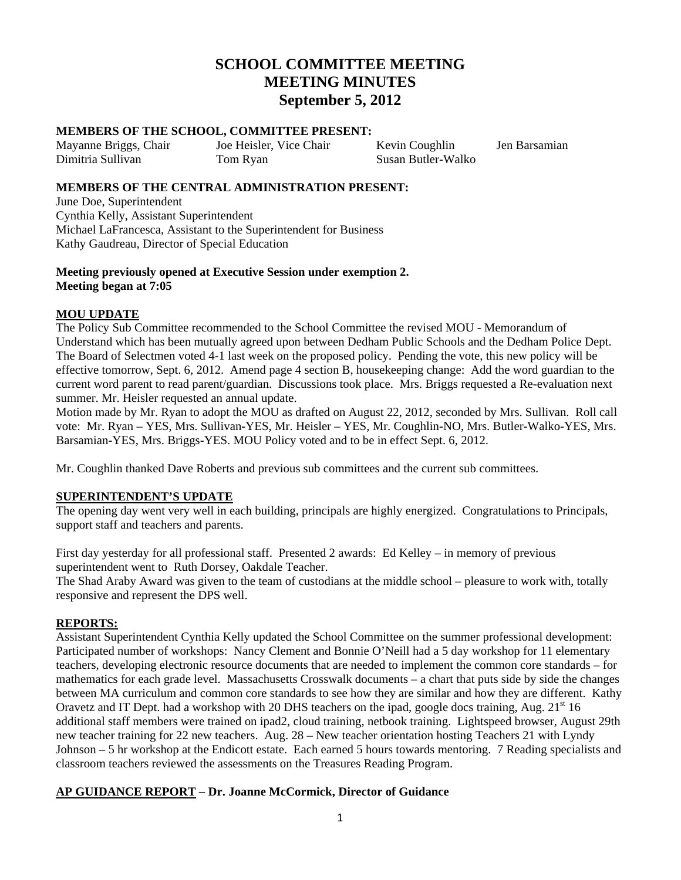# **SCHOOL COMMITTEE MEETING MEETING MINUTES September 5, 2012**

#### **MEMBERS OF THE SCHOOL, COMMITTEE PRESENT:**

Mayanne Briggs, Chair Joe Heisler, Vice Chair Kevin Coughlin Jen Barsamian<br>Dimitria Sullivan Tom Ryan Susan Butler-Walko Tom Ryan Susan Butler-Walko

#### **MEMBERS OF THE CENTRAL ADMINISTRATION PRESENT:**

June Doe, Superintendent Cynthia Kelly, Assistant Superintendent Michael LaFrancesca, Assistant to the Superintendent for Business Kathy Gaudreau, Director of Special Education

# **Meeting previously opened at Executive Session under exemption 2. Meeting began at 7:05**

# **MOU UPDATE**

The Policy Sub Committee recommended to the School Committee the revised MOU - Memorandum of Understand which has been mutually agreed upon between Dedham Public Schools and the Dedham Police Dept. The Board of Selectmen voted 4-1 last week on the proposed policy. Pending the vote, this new policy will be effective tomorrow, Sept. 6, 2012. Amend page 4 section B, housekeeping change: Add the word guardian to the current word parent to read parent/guardian. Discussions took place. Mrs. Briggs requested a Re-evaluation next summer. Mr. Heisler requested an annual update.

Motion made by Mr. Ryan to adopt the MOU as drafted on August 22, 2012, seconded by Mrs. Sullivan. Roll call vote: Mr. Ryan – YES, Mrs. Sullivan-YES, Mr. Heisler – YES, Mr. Coughlin-NO, Mrs. Butler-Walko-YES, Mrs. Barsamian-YES, Mrs. Briggs-YES. MOU Policy voted and to be in effect Sept. 6, 2012.

Mr. Coughlin thanked Dave Roberts and previous sub committees and the current sub committees.

#### **SUPERINTENDENT'S UPDATE**

The opening day went very well in each building, principals are highly energized. Congratulations to Principals, support staff and teachers and parents.

First day yesterday for all professional staff. Presented 2 awards: Ed Kelley – in memory of previous superintendent went to Ruth Dorsey, Oakdale Teacher.

The Shad Araby Award was given to the team of custodians at the middle school – pleasure to work with, totally responsive and represent the DPS well.

#### **REPORTS:**

Assistant Superintendent Cynthia Kelly updated the School Committee on the summer professional development: Participated number of workshops: Nancy Clement and Bonnie O'Neill had a 5 day workshop for 11 elementary teachers, developing electronic resource documents that are needed to implement the common core standards – for mathematics for each grade level. Massachusetts Crosswalk documents – a chart that puts side by side the changes between MA curriculum and common core standards to see how they are similar and how they are different. Kathy Oravetz and IT Dept. had a workshop with 20 DHS teachers on the ipad, google docs training, Aug.  $21<sup>st</sup> 16$ additional staff members were trained on ipad2, cloud training, netbook training. Lightspeed browser, August 29th new teacher training for 22 new teachers. Aug. 28 – New teacher orientation hosting Teachers 21 with Lyndy Johnson – 5 hr workshop at the Endicott estate. Each earned 5 hours towards mentoring. 7 Reading specialists and classroom teachers reviewed the assessments on the Treasures Reading Program.

# **AP GUIDANCE REPORT – Dr. Joanne McCormick, Director of Guidance**